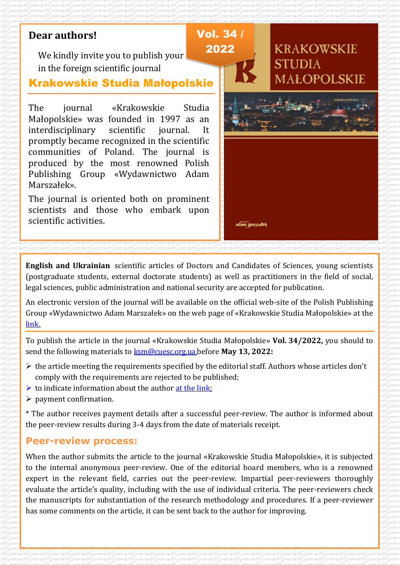# **Dear authors!**

We kindly invite you to publish your in the foreign scientific journal

### Krakowskie Studia Małopolskie

The journal «Krakowskie Studia Małopolskie» was founded in 1997 as an interdisciplinary scientific journal. It promptly became recognized in the scientific communities of Poland. The journal is produced by the most renowned Polish Publishing Group «Wydawnictwo Adam Marszałek».

The journal is oriented both on prominent scientists and those who embark upon scientific activities.



**English and Ukrainian** scientific articles of Doctors and Candidates of Sciences, young scientists (postgraduate students, external doctorate students) as well as practitioners in the field of social, legal sciences, public administration and national security are accepted for publication.

An electronic version of the journal will be available on the official web-site of the Polish Publishing Group «Wydawnictwo Adam Marszałek» on the web page of «Krakowskie Studia Małopolskie» at the [link.](https://czasopisma.marszalek.com.pl/pl/10-15804/ksm)

To publish the article in the journal «Krakowskie Studia Małopolskie» **Vol. 34/2022,** you should to send the following materials to [ksm@cuesc.org.ua](mailto:ksm@cuesc.org.ua) before **May 13, 2022:**

- $\triangleright$  the article meeting the requirements specified by the editorial staff. Authors whose articles don't comply with the requirements are rejected to be published;
- $\triangleright$  to indicate information about the author at the link;
- $\triangleright$  payment confirmation.

\* The author receives payment details after a successful peer-review. The author is informed about the peer-review results during 3-4 days from the date of materials receipt.

### **Peer-review process:**

When the author submits the article to the journal «Krakowskie Studia Małopolskie», it is subjected to the internal anonymous peer-review. One of the editorial board members, who is a renowned expert in the relevant field, carries out the peer-review. Impartial peer-reviewers thoroughly evaluate the article's quality, including with the use of individual criteria. The peer-reviewers check the manuscripts for substantiation of the research methodology and procedures. If a peer-reviewer has some comments on the article, it can be sent back to the author for improving.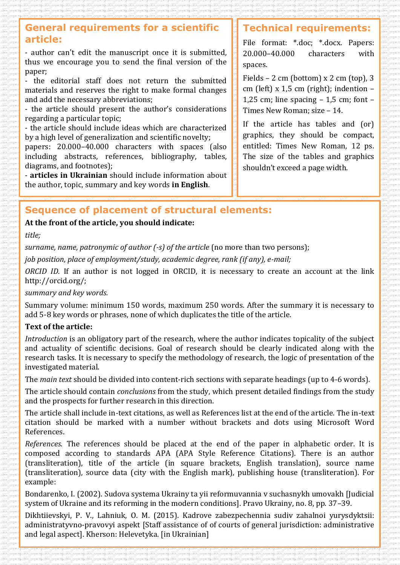### **General requirements for a scientific article:**

- author can't edit the manuscript once it is submitted, thus we encourage you to send the final version of the paper;

- the editorial staff does not return the submitted materials and reserves the right to make formal changes and add the necessary abbreviations;

- the article should present the author's considerations regarding a particular topic;

- the article should include ideas which are characterized by a high level of generalization and scientific novelty;

papers: 20.000–40.000 characters with spaces (also including abstracts, references, bibliography, tables, diagrams, and footnotes);

- **articles in Ukrainian** should include information about the author, topic, summary and key words **in English**.

### **Technical requirements:**

File format: \*.doc; \*.docx. Papers: 20.000–40.000 characters with spaces.

Fields – 2 cm (bottom) x 2 cm (top), 3 cm (left) x 1,5 cm (right); indention – 1.25 cm; line spacing  $-$  1.5 cm; font  $-$ Times New Roman; size – 14.

If the article has tables and (or) graphics, they should be compact, entitled: Times New Roman, 12 ps. The size of the tables and graphics shouldn't exceed a page width.

## **Sequence of placement of structural elements:**

### **At the front of the article, you should indicate:**

*title;*

*surname, name, patronymic of author (-s) of the article (no more than two persons);* 

*job position, place of employment/study, academic degree, rank (if any), e-mail;*

*ORCID ID.* If an author is not logged in ORCID, it is necessary to create an account at the link http://orcid.org/;

*summary and key words.*

Summary volume: minimum 150 words, maximum 250 words. After the summary it is necessary to add 5-8 key words or phrases, none of which duplicates the title of the article.

### **Text of the article:**

*Introduction* is an obligatory part of the research, where the author indicates topicality of the subject and actuality of scientific decisions. Goal of research should be clearly indicated along with the research tasks. It is necessary to specify the methodology of research, the logic of presentation of the investigated material.

The *main text* should be divided into content-rich sections with separate headings (up to 4-6 words).

The article should contain *conclusions* from the study, which present detailed findings from the study and the prospects for further research in this direction.

The article shall include in-text citations, as well as References list at the end of the article. The in-text citation should be marked with a number without brackets and dots using Microsoft Word References.

*References.* The references should be placed at the end of the paper in alphabetic order. It is composed according to standards APA (APA Style Reference Citations). There is an author (transliteration), title of the article (in square brackets, English translation), source name (transliteration), source data (city with the English mark), publishing house (transliteration). For example:

Bondarenko, I. (2002). Sudova systema Ukrainy ta yii reformuvannia v suchasnykh umovakh [Judicial system of Ukraine and its reforming in the modern conditions]. Pravo Ukrainy, no. 8, pp. 37–39.

Dikhtiievskyi, P. V., Lahniuk, O. M. (2015). Kadrove zabezpechennia sudiv zahalnoi yurysdyktsii: administratyvno-pravovyi aspekt [Staff assistance of of courts of general jurisdiction: administrative and legal aspect]. Kherson: Helevetyka. [in Ukrainian]